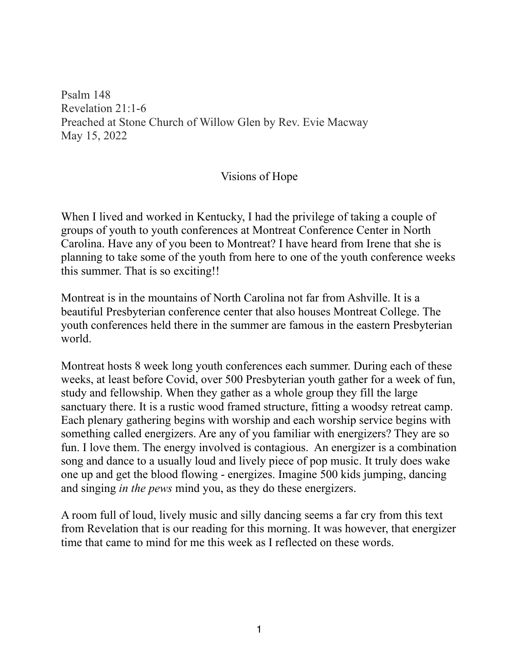Psalm 148 Revelation 21:1-6 Preached at Stone Church of Willow Glen by Rev. Evie Macway May 15, 2022

## Visions of Hope

When I lived and worked in Kentucky, I had the privilege of taking a couple of groups of youth to youth conferences at Montreat Conference Center in North Carolina. Have any of you been to Montreat? I have heard from Irene that she is planning to take some of the youth from here to one of the youth conference weeks this summer. That is so exciting!!

Montreat is in the mountains of North Carolina not far from Ashville. It is a beautiful Presbyterian conference center that also houses Montreat College. The youth conferences held there in the summer are famous in the eastern Presbyterian world.

Montreat hosts 8 week long youth conferences each summer. During each of these weeks, at least before Covid, over 500 Presbyterian youth gather for a week of fun, study and fellowship. When they gather as a whole group they fill the large sanctuary there. It is a rustic wood framed structure, fitting a woodsy retreat camp. Each plenary gathering begins with worship and each worship service begins with something called energizers. Are any of you familiar with energizers? They are so fun. I love them. The energy involved is contagious. An energizer is a combination song and dance to a usually loud and lively piece of pop music. It truly does wake one up and get the blood flowing - energizes. Imagine 500 kids jumping, dancing and singing *in the pews* mind you, as they do these energizers.

A room full of loud, lively music and silly dancing seems a far cry from this text from Revelation that is our reading for this morning. It was however, that energizer time that came to mind for me this week as I reflected on these words.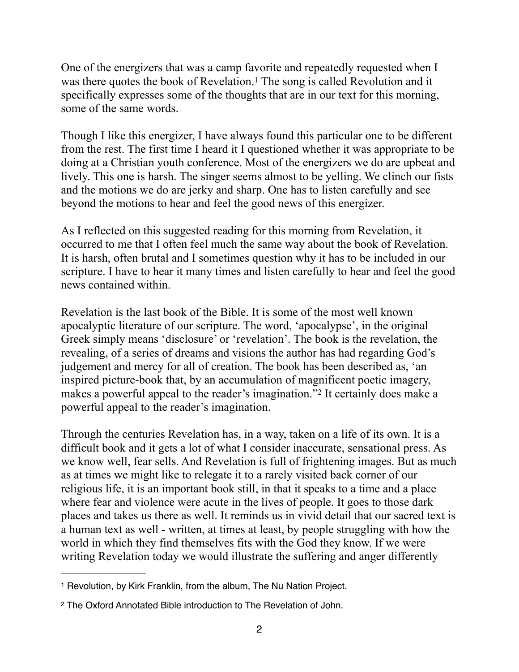<span id="page-1-2"></span>One of the energizers that was a camp favorite and repeatedly requested when I was there quotes the book of Revelation.<sup>[1](#page-1-0)</sup> The song is called Revolution and it specifically expresses some of the thoughts that are in our text for this morning, some of the same words.

Though I like this energizer, I have always found this particular one to be different from the rest. The first time I heard it I questioned whether it was appropriate to be doing at a Christian youth conference. Most of the energizers we do are upbeat and lively. This one is harsh. The singer seems almost to be yelling. We clinch our fists and the motions we do are jerky and sharp. One has to listen carefully and see beyond the motions to hear and feel the good news of this energizer.

As I reflected on this suggested reading for this morning from Revelation, it occurred to me that I often feel much the same way about the book of Revelation. It is harsh, often brutal and I sometimes question why it has to be included in our scripture. I have to hear it many times and listen carefully to hear and feel the good news contained within.

Revelation is the last book of the Bible. It is some of the most well known apocalyptic literature of our scripture. The word, 'apocalypse', in the original Greek simply means 'disclosure' or 'revelation'. The book is the revelation, the revealing, of a series of dreams and visions the author has had regarding God's judgement and mercy for all of creation. The book has been described as, 'an inspired picture-book that, by an accumulation of magnificent poetic imagery, makesa powerful appeal to the reader's imagination."<sup>[2](#page-1-1)</sup> It certainly does make a powerful appeal to the reader's imagination.

<span id="page-1-3"></span>Through the centuries Revelation has, in a way, taken on a life of its own. It is a difficult book and it gets a lot of what I consider inaccurate, sensational press. As we know well, fear sells. And Revelation is full of frightening images. But as much as at times we might like to relegate it to a rarely visited back corner of our religious life, it is an important book still, in that it speaks to a time and a place where fear and violence were acute in the lives of people. It goes to those dark places and takes us there as well. It reminds us in vivid detail that our sacred text is a human text as well - written, at times at least, by people struggling with how the world in which they find themselves fits with the God they know. If we were writing Revelation today we would illustrate the suffering and anger differently

<span id="page-1-0"></span><sup>&</sup>lt;sup>[1](#page-1-2)</sup> Revolution, by Kirk Franklin, from the album, The Nu Nation Project.

<span id="page-1-1"></span><sup>&</sup>lt;sup>[2](#page-1-3)</sup> The Oxford Annotated Bible introduction to The Revelation of John.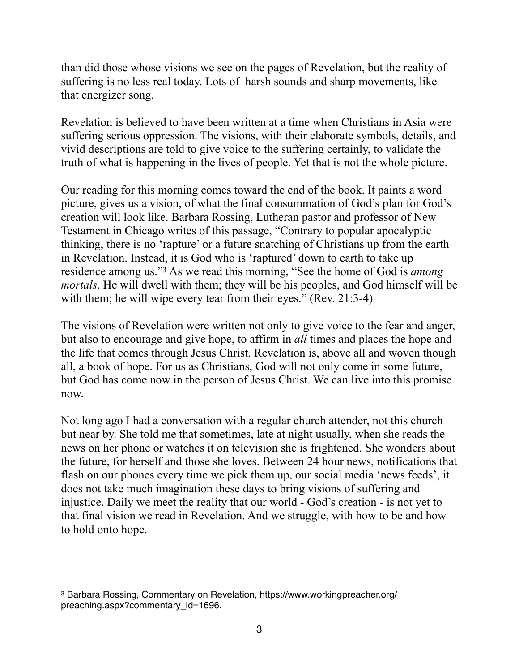than did those whose visions we see on the pages of Revelation, but the reality of suffering is no less real today. Lots of harsh sounds and sharp movements, like that energizer song.

Revelation is believed to have been written at a time when Christians in Asia were suffering serious oppression. The visions, with their elaborate symbols, details, and vivid descriptions are told to give voice to the suffering certainly, to validate the truth of what is happening in the lives of people. Yet that is not the whole picture.

Our reading for this morning comes toward the end of the book. It paints a word picture, gives us a vision, of what the final consummation of God's plan for God's creation will look like. Barbara Rossing, Lutheran pastor and professor of New Testament in Chicago writes of this passage, "Contrary to popular apocalyptic thinking, there is no 'rapture' or a future snatching of Christians up from the earth in Revelation. Instead, it is God who is 'raptured' down to earth to take up residence among us."<sup>3</sup> As we read this morning, "See the home of God is *among mortals*. He will dwell with them; they will be his peoples, and God himself will be with them; he will wipe every tear from their eyes." (Rev. 21:3-4)

<span id="page-2-1"></span>The visions of Revelation were written not only to give voice to the fear and anger, but also to encourage and give hope, to affirm in *all* times and places the hope and the life that comes through Jesus Christ. Revelation is, above all and woven though all, a book of hope. For us as Christians, God will not only come in some future, but God has come now in the person of Jesus Christ. We can live into this promise now.

Not long ago I had a conversation with a regular church attender, not this church but near by. She told me that sometimes, late at night usually, when she reads the news on her phone or watches it on television she is frightened. She wonders about the future, for herself and those she loves. Between 24 hour news, notifications that flash on our phones every time we pick them up, our social media 'news feeds', it does not take much imagination these days to bring visions of suffering and injustice. Daily we meet the reality that our world - God's creation - is not yet to that final vision we read in Revelation. And we struggle, with how to be and how to hold onto hope.

<span id="page-2-0"></span><sup>&</sup>lt;sup>[3](#page-2-1)</sup> Barbara Rossing, Commentary on Revelation, https://www.workingpreacher.org/ preaching.aspx?commentary\_id=1696.